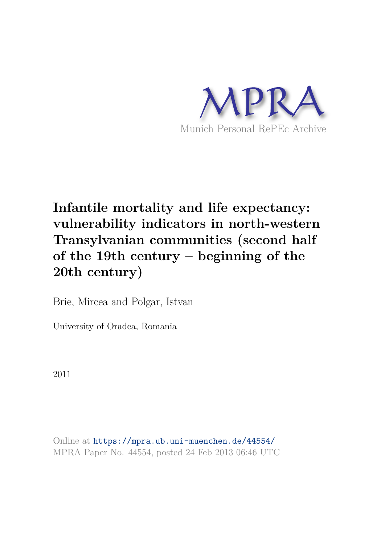

# **Infantile mortality and life expectancy: vulnerability indicators in north-western Transylvanian communities (second half of the 19th century – beginning of the 20th century)**

Brie, Mircea and Polgar, Istvan

University of Oradea, Romania

2011

Online at https://mpra.ub.uni-muenchen.de/44554/ MPRA Paper No. 44554, posted 24 Feb 2013 06:46 UTC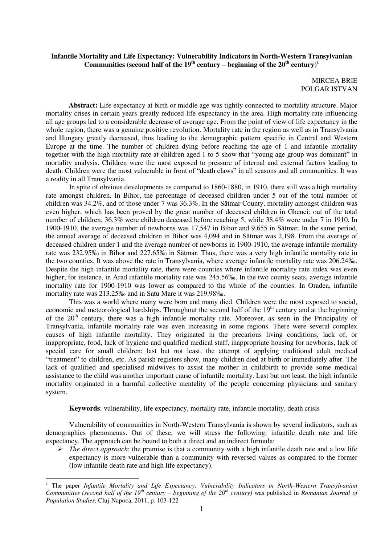## **Infantile Mortality and Life Expectancy: Vulnerability Indicators in North-Western Transylvanian**  Communities (second half of the  $19<sup>th</sup>$  century – beginning of the  $20<sup>th</sup>$  century)<sup>1</sup>

MIRCEA BRIE POLGAR ISTVAN

**Abstract:** Life expectancy at birth or middle age was tightly connected to mortality structure. Major mortality crises in certain years greatly reduced life expectancy in the area. High mortality rate influencing all age groups led to a considerable decrease of average age. From the point of view of life expectancy in the whole region, there was a genuine positive revolution. Mortality rate in the region as well as in Transylvania and Hungary greatly decreased, thus leading to the demographic pattern specific in Central and Western Europe at the time. The number of children dying before reaching the age of 1 and infantile mortality together with the high mortality rate at children aged 1 to 5 show that "young age group was dominant" in mortality analysis. Children were the most exposed to pressure of internal and external factors leading to death. Children were the most vulnerable in front of "death claws" in all seasons and all communities. It was a reality in all Transylvania.

In spite of obvious developments as compared to 1860-1880, in 1910, there still was a high mortality rate amongst children. In Bihor, the percentage of deceased children under 5 out of the total number of children was 34.2%, and of those under 7 was 36.3%. In the Sătmar County, mortality amongst children was even higher, which has been proved by the great number of deceased children in Ghenci: out of the total number of children, 36.3% were children deceased before reaching 5, while 38.4% were under 7 in 1910. In 1900-1910, the average number of newborns was 17,547 in Bihor and 9,655 in Sătmar. In the same period, the annual average of deceased children in Bihor was 4,094 and in Sătmar was 2,198. From the average of deceased children under 1 and the average number of newborns in 1900-1910, the average infantile mortality rate was 232.95‰ in Bihor and 227.65‰ in Sătmar. Thus, there was a very high infantile mortality rate in the two counties. It was above the rate in Transylvania, where average infantile mortality rate was 206.24‰. Despite the high infantile mortality rate, there were counties where infantile mortality rate index was even higher; for instance, in Arad infantile mortality rate was 245.56‰. In the two county seats, average infantile mortality rate for 1900-1910 was lower as compared to the whole of the counties. In Oradea, infantile mortality rate was 213.25‰ and in Satu Mare it was 219.98‰.

This was a world where many were born and many died. Children were the most exposed to social, economic and meteorological hardships. Throughout the second half of the  $19<sup>th</sup>$  century and at the beginning of the  $20<sup>th</sup>$  century, there was a high infantile mortality rate. Moreover, as seen in the Principality of Transylvania, infantile mortality rate was even increasing in some regions. There were several complex causes of high infantile mortality. They originated in the precarious living conditions, lack of, or inappropriate, food, lack of hygiene and qualified medical staff, inappropriate housing for newborns, lack of special care for small children; last but not least, the attempt of applying traditional adult medical "treatment" to children, etc. As parish registers show, many children died at birth or immediately after. The lack of qualified and specialised midwives to assist the mother in childbirth to provide some medical assistance to the child was another important cause of infantile mortality. Last but not least, the high infantile mortality originated in a harmful collective mentality of the people concerning physicians and sanitary system.

**Keywords**: vulnerability, life expectancy, mortality rate, infantile mortality, death crisis

Vulnerability of communities in North-Western Transylvania is shown by several indicators, such as demographics phenomenas. Out of these, we will stress the following: infantile death rate and life expectancy. The approach can be bound to both a direct and an indirect formula:

 *The direct approach*: the premise is that a community with a high infantile death rate and a low life expectancy is more vulnerable than a community with reversed values as compared to the former (low infantile death rate and high life expectancy).

<sup>1</sup> The paper *Infantile Mortality and Life Expectancy: Vulnerability Indicators in North-Western Transylvanian Communities (second half of the 19th century – beginning of the 20th century)* was published in *Romanian Journal of Population Studies*, Cluj-Napoca, 2011, p. 103-122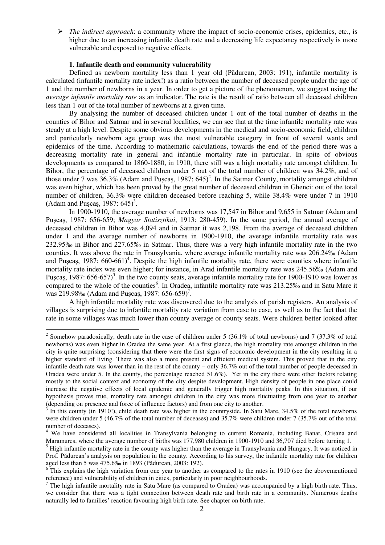*The indirect approach*: a community where the impact of socio-economic crises, epidemics, etc., is higher due to an increasing infantile death rate and a decreasing life expectancy respectively is more vulnerable and exposed to negative effects.

#### **1. Infantile death and community vulnerability**

Defined as newborn mortality less than 1 year old (Pădurean, 2003: 191), infantile mortality is calculated (infantile mortality rate index!) as a ratio between the number of deceased people under the age of 1 and the number of newborns in a year. In order to get a picture of the phenomenon, we suggest using the *average infantile mortality rate* as an indicator. The rate is the result of ratio between all deceased children less than 1 out of the total number of newborns at a given time.

By analysing the number of deceased children under 1 out of the total number of deaths in the counties of Bihor and Satmar and in several localities, we can see that at the time infantile mortality rate was steady at a high level. Despite some obvious developments in the medical and socio-economic field, children and particularly newborn age group was the most vulnerable category in front of several wants and epidemics of the time. According to mathematic calculations, towards the end of the period there was a decreasing mortality rate in general and infantile mortality rate in particular. In spite of obvious developments as compared to 1860-1880, in 1910, there still was a high mortality rate amongst children. In Bihor, the percentage of deceased children under 5 out of the total number of children was 34.2%, and of those under 7 was  $36.3\%$  (Adam and Pușcaș, 1987:  $645)^2$ . In the Satmar County, mortality amongst children was even higher, which has been proved by the great number of deceased children in Ghenci: out of the total number of children, 36.3% were children deceased before reaching 5, while 38.4% were under 7 in 1910 (Adam and Puşcaş, 1987:  $645$ <sup>3</sup>.

In 1900-1910, the average number of newborns was 17,547 in Bihor and 9,655 in Satmar (Adam and Puşcaş, 1987: 656-659; *Magyar Statisztikai*, 1913: 280-459). In the same period, the annual average of deceased children in Bihor was 4,094 and in Satmar it was 2,198. From the average of deceased children under 1 and the average number of newborns in 1900-1910, the average infantile mortality rate was 232.95‰ in Bihor and 227.65‰ in Satmar. Thus, there was a very high infantile mortality rate in the two counties. It was above the rate in Transylvania, where average infantile mortality rate was 206.24‰ (Adam and Puşcaş, 1987:  $660-661$ <sup>4</sup>. Despite the high infantile mortality rate, there were counties where infantile mortality rate index was even higher; for instance, in Arad infantile mortality rate was 245.56‰ (Adam and Puşcaş, 1987: 656-657)<sup>5</sup>. In the two county seats, average infantile mortality rate for 1900-1910 was lower as compared to the whole of the counties<sup>6</sup>. In Oradea, infantile mortality rate was 213.25‰ and in Satu Mare it was 219.98‰ (Adam and Puşcaş, 1987: 656-659)<sup>7</sup>.

A high infantile mortality rate was discovered due to the analysis of parish registers. An analysis of villages is surprising due to infantile mortality rate variation from case to case, as well as to the fact that the rate in some villages was much lower than county average or county seats. Were children better looked after

<sup>&</sup>lt;sup>2</sup> Somehow paradoxically, death rate in the case of children under 5 (36.1% of total newborns) and 7 (37.3% of total newborns) was even higher in Oradea the same year. At a first glance, the high mortality rate amongst children in the city is quite surprising (considering that there were the first signs of economic development in the city resulting in a higher standard of living. There was also a more present and efficient medical system. This proved that in the city infantile death rate was lower than in the rest of the county – only 36.7% out of the total number of people deceased in Oradea were under 5. In the county, the percentage reached 51.6%). Yet in the city there were other factors relating mostly to the social context and economy of the city despite development. High density of people in one place could increase the negative effects of local epidemic and generally trigger high mortality peaks. In this situation, if our hypothesis proves true, mortality rate amongst children in the city was more fluctuating from one year to another (depending on presence and force of influence factors) and from one city to another.

 $3 \text{ In this country (in 1910!), child death rate was higher in the countryside. In Satu Mare, 34.5% of the total newborns.}$ were children under 5 (46.7% of the total number of deceases) and 35.7% were children under 7 (35.7% out of the total number of deceases).

<sup>&</sup>lt;sup>4</sup> We have considered all localities in Transylvania belonging to current Romania, including Banat, Crisana and Maramures, where the average number of births was 177,980 children in 1900-1910 and 36,707 died before turning 1.

<sup>&</sup>lt;sup>5</sup> High infantile mortality rate in the county was higher than the average in Transylvania and Hungary. It was noticed in Prof. Pădurean"s analysis on population in the county. According to his survey, the infantile mortality rate for children aged less than 5 was 475.6‰ in 1893 (Pădurean, 2003: 192).

 $6$  This explains the high variation from one year to another as compared to the rates in 1910 (see the abovementioned reference) and vulnerability of children in cities, particularly in poor neighbourhoods.

<sup>&</sup>lt;sup>7</sup> The high infantile mortality rate in Satu Mare (as compared to Oradea) was accompanied by a high birth rate. Thus, we consider that there was a tight connection between death rate and birth rate in a community. Numerous deaths naturally led to families' reaction favouring high birth rate. See chapter on birth rate.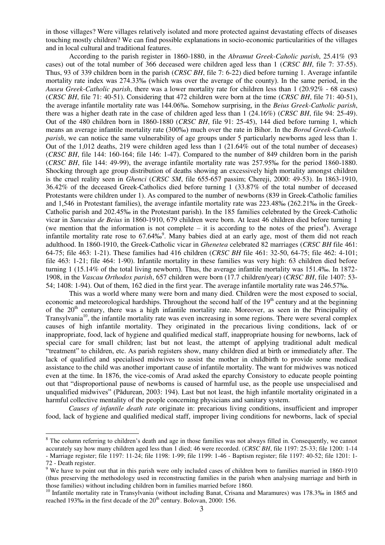in those villages? Were villages relatively isolated and more protected against devastating effects of diseases touching mostly children? We can find possible explanations in socio-economic particularities of the villages and in local cultural and traditional features.

According to the parish register in 1860-1880, in the *Abramut Greek-Caholic parish*, 25.41% (93 cases) out of the total number of 366 deceased were children aged less than 1 (*CRSC BH*, file 7: 37-55). Thus, 93 of 339 children born in the parish (*CRSC BH*, file 7: 6-22) died before turning 1. Average infantile mortality rate index was 274.33‰ (which was over the average of the county). In the same period, in the *Auseu Greek-Catholic parish*, there was a lower mortality rate for children less than 1 (20.92% - 68 cases) (*CRSC BH*, file 71: 40-51). Considering that 472 children were born at the time (*CRSC BH*, file 71: 40-51), the average infantile mortality rate was 144.06‰. Somehow surprising, in the *Beius Greek-Catholic parish*, there was a higher death rate in the case of children aged less than 1 (24.16%) (*CRSC BH*, file 94: 25-49). Out of the 480 children born in 1860-1880 (*CRSC BH*, file 91: 25-45), 144 died before turning 1, which means an average infantile mortality rate (300‰) much over the rate in Bihor. In the *Borod Greek-Catholic parish*, we can notice the same vulnerability of age groups under 5 particularly newborns aged less than 1. Out of the 1,012 deaths, 219 were children aged less than 1 (21.64% out of the total number of deceases) (*CRSC BH*, file 144: 160-164; file 146: 1-47). Compared to the number of 849 children born in the parish (*CRSC BH*, file 144: 49-99), the average infantile mortality rate was 257.95‰ for the period 1860-1880. Shocking through age group distribution of deaths showing an excessively high mortality amongst children is the cruel reality seen in *Ghenci* (*CRSC SM*, file 655-657 passim; Chereji, 2000: 49-53). In 1863-1910, 36.42% of the deceased Greek-Catholics died before turning 1 (33.87% of the total number of deceased Protestants were children under 1). As compared to the number of newborns (839 in Greek-Catholic families and 1,546 in Protestant families), the average infantile mortality rate was 223.48‰ (262.21‰ in the Greek-Catholic parish and 202.45‰ in the Protestant parish). In the 185 families celebrated by the Greek-Catholic vicar in *Suncuius de Beius* in 1860-1910, 679 children were born. At least 46 children died before turning 1 (we mention that the information is not complete  $-$  it is according to the notes of the priest<sup>8</sup>). Average infantile mortality rate rose to 67.64‰<sup>9</sup>. Many babies died at an early age, most of them did not reach adulthood. In 1860-1910, the Greek-Catholic vicar in *Ghenetea* celebrated 82 marriages (*CRSC BH* file 461: 64-75; file 463: 1-21). These families had 416 children (*CRSC BH* file 461: 32-50, 64-75; file 462: 4-101; file 463: 1-21; file 464: 1-90). Infantile mortality in these families was very high: 63 children died before turning 1 (15.14% of the total living newborn). Thus, the average infantile mortality was 151.4‰. In 1872- 1908, in the *Vascau Orthodox parish*, 657 children were born (17.7 children/year) (*CRSC BH*, file 1407: 53- 54; 1408: 1-94). Out of them, 162 died in the first year. The average infantile mortality rate was 246.57‰.

This was a world where many were born and many died. Children were the most exposed to social, economic and meteorological hardships. Throughout the second half of the  $19<sup>th</sup>$  century and at the beginning of the  $20<sup>th</sup>$  century, there was a high infantile mortality rate. Moreover, as seen in the Principality of Transylvania<sup>10</sup>, the infantile mortality rate was even increasing in some regions. There were several complex causes of high infantile mortality. They originated in the precarious living conditions, lack of or inappropriate, food, lack of hygiene and qualified medical staff, inappropriate housing for newborns, lack of special care for small children; last but not least, the attempt of applying traditional adult medical "treatment" to children, etc. As parish registers show, many children died at birth or immediately after. The lack of qualified and specialised midwives to assist the mother in childbirth to provide some medical assistance to the child was another important cause of infantile mortality. The want for midwives was noticed even at the time. In 1876, the vice-comis of Arad asked the eparchy Consistory to educate people pointing out that "disproportional pause of newborns is caused of harmful use, as the people use unspecialised and unqualified midwives" (Pădurean, 2003: 194). Last but not least, the high infantile mortality originated in a harmful collective mentality of the people concerning physicians and sanitary system.

*Causes of infantile death rate* originate in: precarious living conditions, insufficient and improper food, lack of hygiene and qualified medical staff, improper living conditions for newborns, lack of special

l

<sup>&</sup>lt;sup>8</sup> The column referring to children's death and age in those families was not always filled in. Consequently, we cannot accurately say how many children aged less than 1 died; 46 were recorded. (*CRSC BH*, file 1197: 25-33; file 1200: 1-14 - Marriage register; file 1197: 11-24; file 1198: 1-99; file 1199: 1-46 - Baptism register; file 1197: 40-52; file 1201: 1- 72 - Death register.

<sup>&</sup>lt;sup>9</sup> We have to point out that in this parish were only included cases of children born to families married in 1860-1910 (thus preserving the methodology used in reconstructing families in the parish when analysing marriage and birth in those families) without including children born in families married before 1860.

<sup>&</sup>lt;sup>10</sup> Infantile mortality rate in Transylvania (without including Banat, Crisana and Maramures) was 178.3‰ in 1865 and reached 193‰ in the first decade of the  $20<sup>th</sup>$  century. Bolovan, 2000: 156.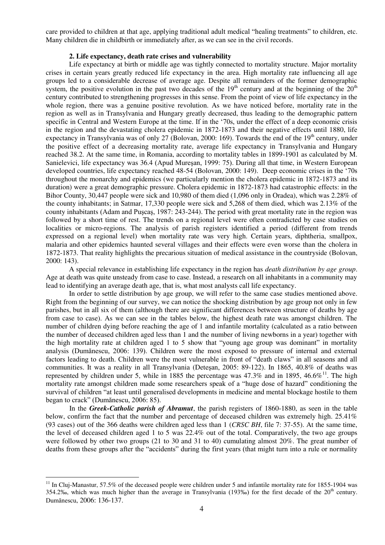care provided to children at that age, applying traditional adult medical "healing treatments" to children, etc. Many children die in childbirth or immediately after, as we can see in the civil records.

#### **2. Life expectancy, death rate crises and vulnerability**

Life expectancy at birth or middle age was tightly connected to mortality structure. Major mortality crises in certain years greatly reduced life expectancy in the area. High mortality rate influencing all age groups led to a considerable decrease of average age. Despite all remainders of the former demographic system, the positive evolution in the past two decades of the  $19<sup>th</sup>$  century and at the beginning of the  $20<sup>th</sup>$ century contributed to strengthening progresses in this sense. From the point of view of life expectancy in the whole region, there was a genuine positive revolution. As we have noticed before, mortality rate in the region as well as in Transylvania and Hungary greatly decreased, thus leading to the demographic pattern specific in Central and Western Europe at the time. If in the "70s, under the effect of a deep economic crisis in the region and the devastating cholera epidemic in 1872-1873 and their negative effects until 1880, life expectancy in Transylvania was of only 27 (Bolovan, 2000: 169). Towards the end of the  $19<sup>th</sup>$  century, under the positive effect of a decreasing mortality rate, average life expectancy in Transylvania and Hungary reached 38.2. At the same time, in Romania, according to mortality tables in 1899-1901 as calculated by M. Sanielevici, life expectancy was 36.4 (Apud Mureşan, 1999: 75). During all that time, in Western European developed countries, life expectancy reached 48-54 (Bolovan, 2000: 149). Deep economic crises in the "70s throughout the monarchy and epidemics (we particularly mention the cholera epidemic in 1872-1873 and its duration) were a great demographic pressure. Cholera epidemic in 1872-1873 had catastrophic effects: in the Bihor County, 30,447 people were sick and 10,980 of them died (1,096 only in Oradea), which was 2.28% of the county inhabitants; in Satmar, 17,330 people were sick and 5,268 of them died, which was 2.13% of the county inhabitants (Adam and Puşcaş, 1987: 243-244). The period with great mortality rate in the region was followed by a short time of rest. The trends on a regional level were often contradicted by case studies on localities or micro-regions. The analysis of parish registers identified a period (different from trends expressed on a regional level) when mortality rate was very high. Certain years, diphtheria, smallpox, malaria and other epidemics haunted several villages and their effects were even worse than the cholera in 1872-1873. That reality highlights the precarious situation of medical assistance in the countryside (Bolovan, 2000: 143).

A special relevance in establishing life expectancy in the region has *death distribution by age group*. Age at death was quite unsteady from case to case. Instead, a research on all inhabitants in a community may lead to identifying an average death age, that is, what most analysts call life expectancy.

In order to settle distribution by age group, we will refer to the same case studies mentioned above. Right from the beginning of our survey, we can notice the shocking distribution by age group not only in few parishes, but in all six of them (although there are significant differences between structure of deaths by age from case to case). As we can see in the tables below, the highest death rate was amongst children. The number of children dying before reaching the age of 1 and infantile mortality (calculated as a ratio between the number of deceased children aged less than 1 and the number of living newborns in a year) together with the high mortality rate at children aged 1 to 5 show that "young age group was dominant" in mortality analysis (Dumănescu, 2006: 139). Children were the most exposed to pressure of internal and external factors leading to death. Children were the most vulnerable in front of "death claws" in all seasons and all communities. It was a reality in all Transylvania (Deteşan, 2005: 89-122). In 1865, 40.8% of deaths was represented by children under 5, while in 1885 the percentage was 47.3% and in 1895, 46.6%<sup>11</sup>. The high mortality rate amongst children made some researchers speak of a "huge dose of hazard" conditioning the survival of children "at least until generalised developments in medicine and mental blockage hostile to them began to crack" (Dumănescu, 2006: 85).

In the *Greek-Catholic parish of Abramut*, the parish registers of 1860-1880, as seen in the table below, confirm the fact that the number and percentage of deceased children was extremely high. 25.41% (93 cases) out of the 366 deaths were children aged less than 1 (*CRSC BH*, file 7: 37-55). At the same time, the level of deceased children aged 1 to 5 was 22.4% out of the total. Comparatively, the two age groups were followed by other two groups (21 to 30 and 31 to 40) cumulating almost 20%. The great number of deaths from these groups after the "accidents" during the first years (that might turn into a rule or normality

 $11$  In Cluj-Manastur, 57.5% of the deceased people were children under 5 and infantile mortality rate for 1855-1904 was 354.2‰, which was much higher than the average in Transylvania (193‰) for the first decade of the  $20<sup>th</sup>$  century. Dumănescu, 2006: 136-137.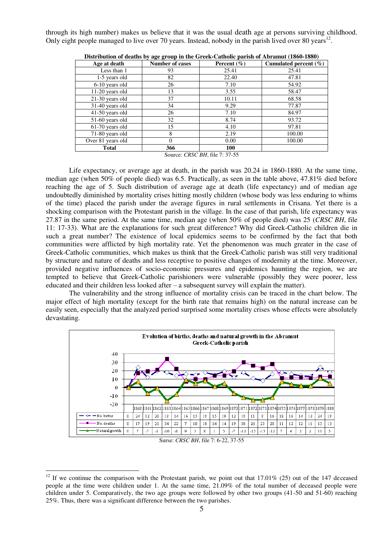through its high number) makes us believe that it was the usual death age at persons surviving childhood. Only eight people managed to live over 70 years. Instead, nobody in the parish lived over 80 years<sup>12</sup>.

| Age at death      | <b>Number of cases</b> | Percent $(\% )$ | Cumulated percent (%) |  |
|-------------------|------------------------|-----------------|-----------------------|--|
| Less than 1       | 93                     | 25.41           | 25.41                 |  |
| 1-5 years old     | 82<br>22.40            |                 | 47.81                 |  |
| 6-10 years old    | 26<br>7.10             |                 | 54.92                 |  |
| 11-20 years old   | 13<br>3.55             |                 | 58.47                 |  |
| 21-30 years old   | 37                     | 10.11           | 68.58                 |  |
| 31-40 years old   | 34                     | 9.29            | 77.87                 |  |
| 41-50 years old   | 26                     | 7.10            | 84.97                 |  |
| 51-60 years old   | 32                     | 8.74            | 93.72                 |  |
| 61-70 years old   | 15                     | 4.10            | 97.81                 |  |
| 71-80 years old   | 8                      | 2.19            | 100.00                |  |
| Over 81 years old | $\Omega$               |                 | 100.00                |  |
| <b>Total</b>      | 366                    | 100             |                       |  |

**Distribution of deaths by age group in the Greek-Catholic parish of Abramut (1860-1880)**

Source: *CRSC BH*, file 7: 37-55

Life expectancy, or average age at death, in the parish was 20.24 in 1860-1880. At the same time, median age (when 50% of people died) was 6.5. Practically, as seen in the table above, 47.81% died before reaching the age of 5. Such distribution of average age at death (life expectancy) and of median age undoubtedly diminished by mortality crises hitting mostly children (whose body was less enduring to whims of the time) placed the parish under the average figures in rural settlements in Crisana. Yet there is a shocking comparison with the Protestant parish in the village. In the case of that parish, life expectancy was 27.87 in the same period. At the same time, median age (when 50% of people died) was 25 (*CRSC BH*, file 11: 17-33). What are the explanations for such great difference? Why did Greek-Catholic children die in such a great number? The existence of local epidemics seems to be confirmed by the fact that both communities were afflicted by high mortality rate. Yet the phenomenon was much greater in the case of Greek-Catholic communities, which makes us think that the Greek-Catholic parish was still very traditional by structure and nature of deaths and less receptive to positive changes of modernity at the time. Moreover, provided negative influences of socio-economic pressures and epidemics haunting the region, we are tempted to believe that Greek-Catholic parishioners were vulnerable (possibly they were poorer, less educated and their children less looked after – a subsequent survey will explain the matter).

The vulnerability and the strong influence of mortality crisis can be traced in the chart below. The major effect of high mortality (except for the birth rate that remains high) on the natural increase can be easily seen, especially that the analyzed period surprised some mortality crises whose effects were absolutely devastating.



Surse: *CRSC BH*, file 7: 6-22, 37-55

<sup>&</sup>lt;sup>12</sup> If we continue the comparison with the Protestant parish, we point out that  $17.01\%$  (25) out of the 147 deceased people at the time were children under 1. At the same time, 21.09% of the total number of deceased people were children under 5. Comparatively, the two age groups were followed by other two groups (41-50 and 51-60) reaching 25%. Thus, there was a significant difference between the two parishes.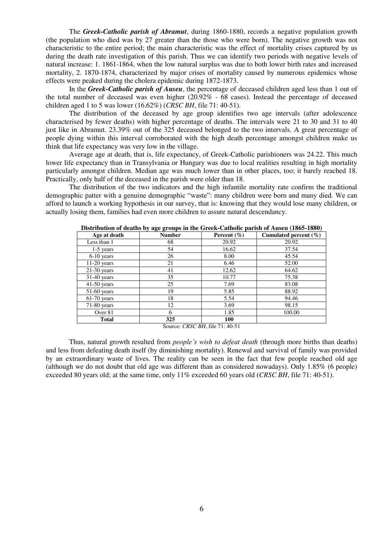The *Greek-Catholic parish of Abramut*, during 1860-1880, records a negative population growth (the population who died was by 27 greater than the those who were born). The negative growth was not characteristic to the entire period; the main characteristic was the effect of mortality crises captured by us during the death rate investigation of this parish. Thus we can identify two periods with negative levels of natural increase: 1. 1861-1864, when the low natural surplus was due to both lower birth rates and increased mortality, 2. 1870-1874, characterized by major crises of mortality caused by numerous epidemics whose effects were peaked during the cholera epidemic during 1872-1873.

In the *Greek-Catholic parish of Auseu*, the percentage of deceased children aged less than 1 out of the total number of deceased was even higher (20.92% - 68 cases). Instead the percentage of deceased children aged 1 to 5 was lower (16.62%) (*CRSC BH*, file 71: 40-51).

The distribution of the deceased by age group identifies two age intervals (after adolescence characterised by fewer deaths) with higher percentage of deaths. The intervals were 21 to 30 and 31 to 40 just like in Abramut. 23.39% out of the 325 deceased belonged to the two intervals. A great percentage of people dying within this interval corroborated with the high death percentage amongst children make us think that life expectancy was very low in the village.

Average age at death, that is, life expectancy, of Greek-Catholic parishioners was 24.22. This much lower life expectancy than in Transylvania or Hungary was due to local realities resulting in high mortality particularly amongst children. Median age was much lower than in other places, too; it barely reached 18. Practically, only half of the deceased in the parish were older than 18.

The distribution of the two indicators and the high infantile mortality rate confirm the traditional demographic patter with a genuine demographic "waste": many children were born and many died. We can afford to launch a working hypothesis in our survey, that is: knowing that they would lose many children, or actually losing them, families had even more children to assure natural descendancy.

| Distribution of acatiis by age groups in the Orteri-Catholic parish of Auseu (1005-1000) |               |                 |                           |  |  |
|------------------------------------------------------------------------------------------|---------------|-----------------|---------------------------|--|--|
| Age at death                                                                             | <b>Number</b> | Percent $(\% )$ | Cumulated percent $(\% )$ |  |  |
| Less than 1                                                                              | 68            | 20.92           | 20.92                     |  |  |
| $1-5$ years                                                                              | 54            | 16.62           | 37.54                     |  |  |
| $6-10$ years                                                                             | 26            | 8.00            | 45.54                     |  |  |
| $11-20$ years                                                                            | 21            | 6.46            | 52.00                     |  |  |
| $21-30$ years                                                                            | 41            | 12.62           | 64.62                     |  |  |
| $31-40$ years                                                                            | 35            | 10.77           | 75.38                     |  |  |
| $41-50$ years                                                                            | 25            | 7.69            | 83.08                     |  |  |
| $51-60$ years                                                                            | 19            | 5.85            | 88.92                     |  |  |
| $61-70$ years                                                                            | 18            | 5.54            | 94.46                     |  |  |
| $71-80$ years                                                                            | 12            | 3.69            | 98.15                     |  |  |
| Over 81                                                                                  | 6             | 1.85            | 100.00                    |  |  |
| <b>Total</b>                                                                             | 325           | 100             |                           |  |  |

**Distribution of deaths by age groups in the Greek-Catholic parish of Auseu (1865-1880)** 

Source: *CRSC BH*, file 71: 40-51

Thus, natural growth resulted from *people's wish to defeat death* (through more births than deaths) and less from defeating death itself (by diminishing mortality). Renewal and survival of family was provided by an extraordinary waste of lives. The reality can be seen in the fact that few people reached old age (although we do not doubt that old age was different than as considered nowadays). Only 1.85% (6 people) exceeded 80 years old; at the same time, only 11% exceeded 60 years old (*CRSC BH*, file 71: 40-51).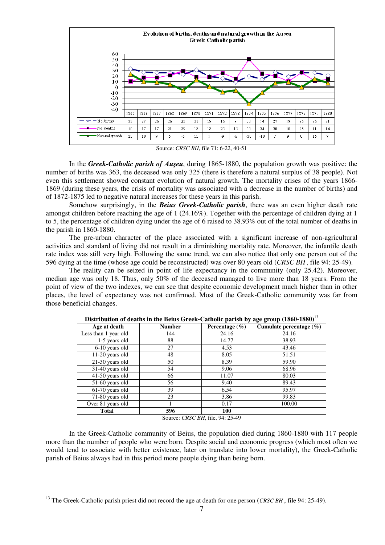

Source: *CRSC BH*, file 71: 6-22, 40-51

In the *Greek-Catholic parish of Auşeu*, during 1865-1880, the population growth was positive: the number of births was 363, the deceased was only 325 (there is therefore a natural surplus of 38 people). Not even this settlement showed constant evolution of natural growth. The mortality crises of the years 1866- 1869 (during these years, the crisis of mortality was associated with a decrease in the number of births) and of 1872-1875 led to negative natural increases for these years in this parish.

Somehow surprisingly, in the *Beius Greek-Catholic parish*, there was an even higher death rate amongst children before reaching the age of 1 (24.16%). Together with the percentage of children dying at 1 to 5, the percentage of children dying under the age of 6 raised to 38.93% out of the total number of deaths in the parish in 1860-1880.

The pre-urban character of the place associated with a significant increase of non-agricultural activities and standard of living did not result in a diminishing mortality rate. Moreover, the infantile death rate index was still very high. Following the same trend, we can also notice that only one person out of the 596 dying at the time (whose age could be reconstructed) was over 80 years old (*CRSC BH* , file 94: 25-49).

The reality can be seized in point of life expectancy in the community (only 25.42). Moreover, median age was only 18. Thus, only 50% of the deceased managed to live more than 18 years. From the point of view of the two indexes, we can see that despite economic development much higher than in other places, the level of expectancy was not confirmed. Most of the Greek-Catholic community was far from those beneficial changes.

| Age at death         | <b>Number</b> | Percentage $(\% )$ | Cumulate percentage $(\% )$ |  |
|----------------------|---------------|--------------------|-----------------------------|--|
| Less than 1 year old | 144           | 24.16              | 24.16                       |  |
| 1-5 years old        | 88            | 14.77              | 38.93                       |  |
| 6-10 years old       | 27            | 4.53               | 43.46                       |  |
| 11-20 years old      | 48            | 8.05               | 51.51                       |  |
| $21-30$ years old    | 50            | 8.39               | 59.90                       |  |
| 31-40 years old      | 54            | 9.06               | 68.96                       |  |
| 41-50 years old      | 66            | 11.07              | 80.03                       |  |
| 51-60 years old      | 56            | 9.40               | 89.43                       |  |
| 61-70 years old      | 39            | 6.54               | 95.97                       |  |
| 71-80 years old      | 23            | 3.86               | 99.83                       |  |
| Over 81 years old    |               | 0.17               | 100.00                      |  |
| <b>Total</b>         | 596           | 100                |                             |  |

**Distribution of deaths in the Beius Greek-Catholic parish by age group (1860-1880)**<sup>13</sup>

Source: *CRSC BH*, file, 94: 25-49

In the Greek-Catholic community of Beius, the population died during 1860-1880 with 117 people more than the number of people who were born. Despite social and economic progress (which most often we would tend to associate with better existence, later on translate into lower mortality), the Greek-Catholic parish of Beius always had in this period more people dying than being born.

<sup>&</sup>lt;sup>13</sup> The Greek-Catholic parish priest did not record the age at death for one person (*CRSC BH*, file 94: 25-49).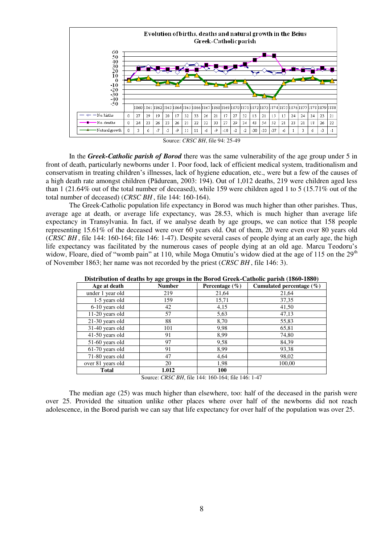

Source: *CRSC BH*, file 94: 25-49

In the *Greek-Catholic parish of Borod* there was the same vulnerability of the age group under 5 in front of death, particularly newborns under 1. Poor food, lack of efficient medical system, traditionalism and conservatism in treating children"s illnesses, lack of hygiene education, etc., were but a few of the causes of a high death rate amongst children (Pădurean, 2003: 194). Out of 1,012 deaths, 219 were children aged less than 1 (21.64% out of the total number of deceased), while 159 were children aged 1 to 5 (15.71% out of the total number of deceased) (*CRSC BH* , file 144: 160-164).

The Greek-Catholic population life expectancy in Borod was much higher than other parishes. Thus, average age at death, or average life expectancy, was 28.53, which is much higher than average life expectancy in Transylvania. In fact, if we analyse death by age groups, we can notice that 158 people representing 15.61% of the deceased were over 60 years old. Out of them, 20 were even over 80 years old (*CRSC BH* , file 144: 160-164; file 146: 1-47). Despite several cases of people dying at an early age, the high life expectancy was facilitated by the numerous cases of people dying at an old age. Marcu Teodoru"s widow, Floare, died of "womb pain" at 110, while Moga Omutiu's widow died at the age of 115 on the 29<sup>th</sup> of November 1863; her name was not recorded by the priest (*CRSC BH* , file 146: 3).

| Distribution of acatils by age groups in the Dorou Ortek-Catholic parish (1000-1000) |               |                    |                          |  |
|--------------------------------------------------------------------------------------|---------------|--------------------|--------------------------|--|
| Age at death                                                                         | <b>Number</b> | Percentage $(\% )$ | Cumulated percentage (%) |  |
| under 1 year old                                                                     | 219           | 21,64              | 21,64                    |  |
| 1-5 years old                                                                        | 159           | 15,71              | 37,35                    |  |
| 6-10 years old                                                                       | 42            | 4,15               | 41,50                    |  |
| $11-20$ years old                                                                    | 57            | 5,63               | 47,13                    |  |
| $21-30$ years old                                                                    | 88            | 8,70               | 55,83                    |  |
| 31-40 years old                                                                      | 101           | 9,98               | 65,81                    |  |
| $41-50$ years old                                                                    | 91            | 8,99               | 74,80                    |  |
| $51-60$ years old                                                                    | 97            | 9,58               | 84,39                    |  |
| $61-70$ years old                                                                    | 91            | 8,99               | 93,38                    |  |
| 71-80 years old                                                                      | 47            | 4,64               | 98,02                    |  |
| over 81 years old                                                                    | 20            | 1,98               | 100.00                   |  |
| <b>Total</b>                                                                         | 1.012         | 100                |                          |  |

**Distribution of deaths by age groups in the Borod Greek-Catholic parish (1860-1880)** 

Source: *CRSC BH*, file 144: 160-164; file 146: 1-47

The median age (25) was much higher than elsewhere, too: half of the deceased in the parish were over 25. Provided the situation unlike other places where over half of the newborns did not reach adolescence, in the Borod parish we can say that life expectancy for over half of the population was over 25.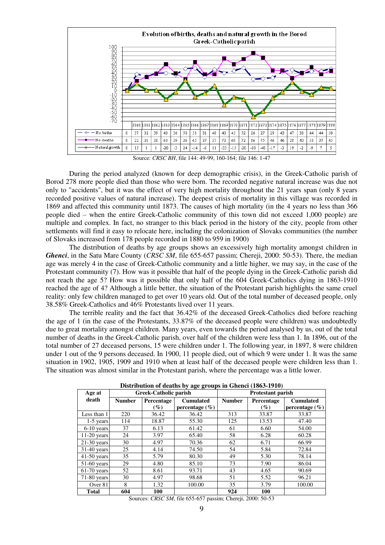

Source: *CRSC BH*, file 144: 49-99, 160-164; file 146: 1-47

During the period analyzed (known for deep demographic crisis), in the Greek-Catholic parish of Borod 278 more people died than those who were born. The recorded negative natural increase was due not only to "accidents", but it was the effect of very high mortality throughout the 21 years span (only 8 years recorded positive values of natural increase). The deepest crisis of mortality in this village was recorded in 1869 and affected this community until 1873. The causes of high mortality (in the 4 years no less than 366 people died – when the entire Greek-Catholic community of this town did not exceed 1,000 people) are multiple and complex. In fact, no stranger to this black period in the history of the city, people from other settlements will find it easy to relocate here, including the colonization of Slovaks communities (the number of Slovaks increased from 178 people recorded in 1880 to 959 in 1900)

The distribution of deaths by age groups shows an excessively high mortality amongst children in *Ghenci*, in the Satu Mare County (*CRSC SM*, file 655-657 passim; Chereji, 2000: 50-53). There, the median age was merely 4 in the case of Greek-Catholic community and a little higher, we may say, in the case of the Protestant community (7). How was it possible that half of the people dying in the Greek-Catholic parish did not reach the age 5? How was it possible that only half of the 604 Greek-Catholics dying in 1863-1910 reached the age of 4? Although a little better, the situation of the Protestant parish highlights the same cruel reality: only few children managed to get over 10 years old. Out of the total number of deceased people, only 38.58% Greek-Catholics and 46% Protestants lived over 11 years.

The terrible reality and the fact that 36.42% of the deceased Greek-Catholics died before reaching the age of 1 (in the case of the Protestants, 33.87% of the deceased people were children) was undoubtedly due to great mortality amongst children. Many years, even towards the period analysed by us, out of the total number of deaths in the Greek-Catholic parish, over half of the children were less than 1. In 1896, out of the total number of 27 deceased persons, 15 were children under 1. The following year, in 1897, 8 were children under 1 out of the 9 persons deceased. In 1900, 11 people died, out of which 9 were under 1. It was the same situation in 1902, 1905, 1909 and 1910 when at least half of the deceased people were children less than 1. The situation was almost similar in the Protestant parish, where the percentage was a little lower.

| $\mu$ by the contracted by $\mu_{\rm N}$ is the contract (1000 TDT0) |                              |                                |                          |               |            |                    |
|----------------------------------------------------------------------|------------------------------|--------------------------------|--------------------------|---------------|------------|--------------------|
| Age at                                                               | <b>Greek-Catholic parish</b> |                                | <b>Protestant parish</b> |               |            |                    |
| death                                                                | <b>Number</b>                | <b>Cumulated</b><br>Percentage |                          | <b>Number</b> | Percentage | <b>Cumulated</b>   |
|                                                                      |                              | $(\%)$                         | percentage $(\% )$       |               | $($ %)     | percentage $(\% )$ |
| Less than 1                                                          | 220                          | 36.42                          | 36.42                    | 313           | 33.87      | 33.87              |
| $1-5$ years                                                          | 114                          | 18.87                          | 55.30                    | 125           | 13.53      | 47.40              |
| $6-10$ years                                                         | 37                           | 6.13                           | 61.42                    | 61            | 6.60       | 54.00              |
| $11-20$ years                                                        | 24                           | 3.97                           | 65.40                    | 58            | 6.28       | 60.28              |
| $21-30$ years                                                        | 30                           | 4.97                           | 70.36                    | 62            | 6.71       | 66.99              |
| $31-40$ years                                                        | 25                           | 4.14                           | 74.50                    | 54            | 5.84       | 72.84              |
| $41-50$ years                                                        | 35                           | 5.79                           | 80.30                    | 49            | 5.30       | 78.14              |
| $51-60$ years                                                        | 29                           | 4.80                           | 85.10                    | 73            | 7.90       | 86.04              |
| $61-70$ years                                                        | 52                           | 8.61                           | 93.71                    | 43            | 4.65       | 90.69              |
| $71-80$ years                                                        | 30                           | 4.97                           | 98.68                    | 51            | 5.52       | 96.21              |
| Over 81                                                              | 8                            | 1.32                           | 100.00                   | 35            | 3.79       | 100.00             |
| <b>Total</b>                                                         | 604                          | 100                            |                          | 924           | 100        |                    |

**Distribution of deaths by age groups in Ghenci (1863-1910)** 

Sources: *CRSC SM*, file 655-657 passim; Chereji, 2000: 50-53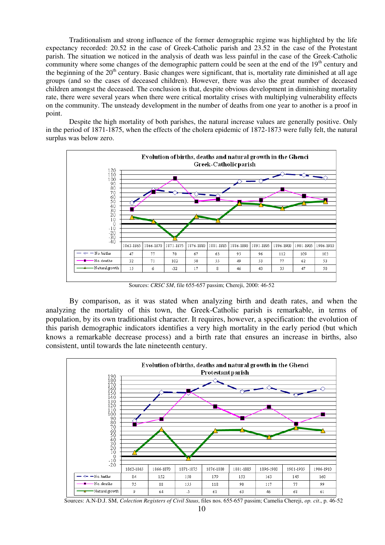Traditionalism and strong influence of the former demographic regime was highlighted by the life expectancy recorded: 20.52 in the case of Greek-Catholic parish and 23.52 in the case of the Protestant parish. The situation we noticed in the analysis of death was less painful in the case of the Greek-Catholic community where some changes of the demographic pattern could be seen at the end of the 19<sup>th</sup> century and the beginning of the  $20<sup>th</sup>$  century. Basic changes were significant, that is, mortality rate diminished at all age groups (and so the cases of deceased children). However, there was also the great number of deceased children amongst the deceased. The conclusion is that, despite obvious development in diminishing mortality rate, there were several years when there were critical mortality crises with multiplying vulnerability effects on the community. The unsteady development in the number of deaths from one year to another is a proof in point.

Despite the high mortality of both parishes, the natural increase values are generally positive. Only in the period of 1871-1875, when the effects of the cholera epidemic of 1872-1873 were fully felt, the natural surplus was below zero.



Sources: *CRSC SM*, file 655-657 passim; Chereji, 2000: 46-52

By comparison, as it was stated when analyzing birth and death rates, and when the analyzing the mortality of this town, the Greek-Catholic parish is remarkable, in terms of population, by its own traditionalist character. It requires, however, a specification: the evolution of this parish demographic indicators identifies a very high mortality in the early period (but which knows a remarkable decrease process) and a birth rate that ensures an increase in births, also consistent, until towards the late nineteenth century.



Sources: A.N-D.J. SM, *Colection Registers of Civil Staus*, files nos. 655-657 passim; Camelia Chereji, *op. cit*., p. 46-52